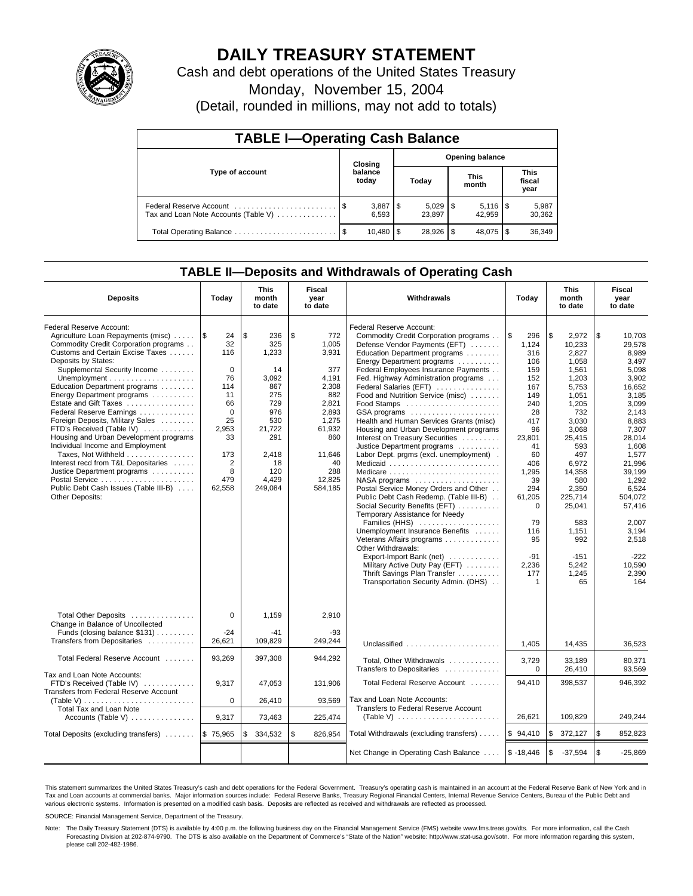

# **DAILY TREASURY STATEMENT**

Cash and debt operations of the United States Treasury

Monday, November 15, 2004

(Detail, rounded in millions, may not add to totals)

| <b>TABLE I-Operating Cash Balance</b>                           |      |                             |                        |        |                      |        |                               |                 |  |  |
|-----------------------------------------------------------------|------|-----------------------------|------------------------|--------|----------------------|--------|-------------------------------|-----------------|--|--|
|                                                                 |      | Closing                     | <b>Opening balance</b> |        |                      |        |                               |                 |  |  |
| Type of account                                                 |      | balance<br>today            |                        | Today  | <b>This</b><br>month |        | <b>This</b><br>fiscal<br>year |                 |  |  |
| Federal Reserve Account<br>Tax and Loan Note Accounts (Table V) |      | $3,887$ $\sqrt{5}$<br>6.593 |                        | 23.897 |                      | 42.959 |                               | 5,987<br>30,362 |  |  |
| Total Operating Balance                                         | - \$ | 10.480                      | l \$                   |        |                      | 48.075 |                               | 36,349          |  |  |

### **TABLE II—Deposits and Withdrawals of Operating Cash**

| <b>Deposits</b>                                                                                                                                                                                                                                                                                                                                                                                                                                                                                                                                                                                                                                  | Today                                                                                                                                                      | <b>This</b><br>month<br>to date                                                                                                         | Fiscal<br>year<br>to date                                                                                                                           | <b>Withdrawals</b>                                                                                                                                                                                                                                                                                                                                                                                                                                                                                                                                                                                                                                                                                                                                                                                                                                                                                                                                                                                                         | Today                                                                                                                                                                                                                            | <b>This</b><br>month<br>to date                                                                                                                                                                                                                        | Fiscal<br>year<br>to date                                                                                                                                                                                                                                               |
|--------------------------------------------------------------------------------------------------------------------------------------------------------------------------------------------------------------------------------------------------------------------------------------------------------------------------------------------------------------------------------------------------------------------------------------------------------------------------------------------------------------------------------------------------------------------------------------------------------------------------------------------------|------------------------------------------------------------------------------------------------------------------------------------------------------------|-----------------------------------------------------------------------------------------------------------------------------------------|-----------------------------------------------------------------------------------------------------------------------------------------------------|----------------------------------------------------------------------------------------------------------------------------------------------------------------------------------------------------------------------------------------------------------------------------------------------------------------------------------------------------------------------------------------------------------------------------------------------------------------------------------------------------------------------------------------------------------------------------------------------------------------------------------------------------------------------------------------------------------------------------------------------------------------------------------------------------------------------------------------------------------------------------------------------------------------------------------------------------------------------------------------------------------------------------|----------------------------------------------------------------------------------------------------------------------------------------------------------------------------------------------------------------------------------|--------------------------------------------------------------------------------------------------------------------------------------------------------------------------------------------------------------------------------------------------------|-------------------------------------------------------------------------------------------------------------------------------------------------------------------------------------------------------------------------------------------------------------------------|
| Federal Reserve Account:<br>Agriculture Loan Repayments (misc)<br>Commodity Credit Corporation programs<br>Customs and Certain Excise Taxes<br>Deposits by States:<br>Supplemental Security Income<br>Education Department programs<br>Energy Department programs<br>Estate and Gift Taxes<br>Federal Reserve Earnings<br>Foreign Deposits, Military Sales<br>FTD's Received (Table IV)<br>Housing and Urban Development programs<br>Individual Income and Employment<br>Taxes, Not Withheld<br>Interest recd from T&L Depositaries<br>Justice Department programs<br>Postal Service<br>Public Debt Cash Issues (Table III-B)<br>Other Deposits: | $\overline{1s}$<br>24<br>32<br>116<br>$\mathbf 0$<br>76<br>114<br>11<br>66<br>$\Omega$<br>25<br>2.953<br>33<br>173<br>$\overline{2}$<br>8<br>479<br>62,558 | \$.<br>236<br>325<br>1,233<br>14<br>3.092<br>867<br>275<br>729<br>976<br>530<br>21,722<br>291<br>2,418<br>18<br>120<br>4,429<br>249,084 | \$<br>772<br>1.005<br>3,931<br>377<br>4.191<br>2,308<br>882<br>2,821<br>2,893<br>1,275<br>61.932<br>860<br>11,646<br>40<br>288<br>12.825<br>584,185 | Federal Reserve Account:<br>Commodity Credit Corporation programs<br>Defense Vendor Payments (EFT)<br>Education Department programs<br>Energy Department programs<br>Federal Employees Insurance Payments<br>Fed. Highway Administration programs<br>Federal Salaries (EFT)<br>Food and Nutrition Service (misc)<br>Food Stamps<br>GSA programs<br>Health and Human Services Grants (misc)<br>Housing and Urban Development programs<br>Interest on Treasury Securities<br>Justice Department programs<br>Labor Dept. prgms (excl. unemployment).<br>Medicaid<br>$NASA$ programs $\ldots \ldots \ldots \ldots \ldots$<br>Postal Service Money Orders and Other<br>Public Debt Cash Redemp. (Table III-B)<br>Social Security Benefits (EFT)<br>Temporary Assistance for Needy<br>Families (HHS)<br>Unemployment Insurance Benefits<br>Veterans Affairs programs<br>Other Withdrawals:<br>Export-Import Bank (net)<br>Military Active Duty Pay (EFT)<br>Thrift Savings Plan Transfer<br>Transportation Security Admin. (DHS) | l \$<br>296<br>1,124<br>316<br>106<br>159<br>152<br>167<br>149<br>240<br>28<br>417<br>96<br>23,801<br>41<br>60<br>406<br>1.295<br>39<br>294<br>61,205<br>$\mathbf 0$<br>79<br>116<br>95<br>$-91$<br>2,236<br>177<br>$\mathbf{1}$ | \$<br>2.972<br>10,233<br>2,827<br>1,058<br>1,561<br>1.203<br>5,753<br>1,051<br>1,205<br>732<br>3,030<br>3.068<br>25,415<br>593<br>497<br>6,972<br>14.358<br>580<br>2,350<br>225,714<br>25,041<br>583<br>1,151<br>992<br>$-151$<br>5,242<br>1,245<br>65 | \$<br>10.703<br>29.578<br>8,989<br>3,497<br>5,098<br>3,902<br>16.652<br>3,185<br>3,099<br>2,143<br>8,883<br>7.307<br>28.014<br>1,608<br>1,577<br>21,996<br>39.199<br>1.292<br>6.524<br>504,072<br>57,416<br>2.007<br>3,194<br>2.518<br>$-222$<br>10.590<br>2,390<br>164 |
| Total Other Deposits<br>Change in Balance of Uncollected<br>Funds (closing balance \$131)<br>Transfers from Depositaries                                                                                                                                                                                                                                                                                                                                                                                                                                                                                                                         | $\Omega$<br>$-24$<br>26,621                                                                                                                                | 1.159<br>$-41$<br>109,829                                                                                                               | 2,910<br>$-93$<br>249,244                                                                                                                           | Unclassified                                                                                                                                                                                                                                                                                                                                                                                                                                                                                                                                                                                                                                                                                                                                                                                                                                                                                                                                                                                                               | 1,405                                                                                                                                                                                                                            | 14,435                                                                                                                                                                                                                                                 | 36.523                                                                                                                                                                                                                                                                  |
| Total Federal Reserve Account                                                                                                                                                                                                                                                                                                                                                                                                                                                                                                                                                                                                                    | 93.269                                                                                                                                                     | 397,308                                                                                                                                 | 944,292                                                                                                                                             | Total, Other Withdrawals<br>Transfers to Depositaries                                                                                                                                                                                                                                                                                                                                                                                                                                                                                                                                                                                                                                                                                                                                                                                                                                                                                                                                                                      | 3,729<br>$\mathbf 0$                                                                                                                                                                                                             | 33,189<br>26,410                                                                                                                                                                                                                                       | 80,371<br>93,569                                                                                                                                                                                                                                                        |
| Tax and Loan Note Accounts:<br>FTD's Received (Table IV)<br>Transfers from Federal Reserve Account<br>Total Tax and Loan Note                                                                                                                                                                                                                                                                                                                                                                                                                                                                                                                    | 9,317<br>$\mathbf 0$                                                                                                                                       | 47,053<br>26,410                                                                                                                        | 131,906<br>93,569                                                                                                                                   | Total Federal Reserve Account<br>Tax and Loan Note Accounts:<br>Transfers to Federal Reserve Account                                                                                                                                                                                                                                                                                                                                                                                                                                                                                                                                                                                                                                                                                                                                                                                                                                                                                                                       | 94,410                                                                                                                                                                                                                           | 398,537                                                                                                                                                                                                                                                | 946,392                                                                                                                                                                                                                                                                 |
| Accounts (Table V) $\dots \dots \dots \dots$                                                                                                                                                                                                                                                                                                                                                                                                                                                                                                                                                                                                     | 9,317                                                                                                                                                      | 73,463                                                                                                                                  | 225,474                                                                                                                                             | (Table V) $\ldots \ldots \ldots \ldots \ldots \ldots \ldots$                                                                                                                                                                                                                                                                                                                                                                                                                                                                                                                                                                                                                                                                                                                                                                                                                                                                                                                                                               | 26,621                                                                                                                                                                                                                           | 109.829                                                                                                                                                                                                                                                | 249,244                                                                                                                                                                                                                                                                 |
| Total Deposits (excluding transfers)                                                                                                                                                                                                                                                                                                                                                                                                                                                                                                                                                                                                             | \$75,965                                                                                                                                                   | 334,532<br>S                                                                                                                            | \$<br>826,954                                                                                                                                       | Total Withdrawals (excluding transfers)                                                                                                                                                                                                                                                                                                                                                                                                                                                                                                                                                                                                                                                                                                                                                                                                                                                                                                                                                                                    | \$94,410                                                                                                                                                                                                                         | \$<br>372,127                                                                                                                                                                                                                                          | \$<br>852,823                                                                                                                                                                                                                                                           |
|                                                                                                                                                                                                                                                                                                                                                                                                                                                                                                                                                                                                                                                  |                                                                                                                                                            |                                                                                                                                         |                                                                                                                                                     | Net Change in Operating Cash Balance                                                                                                                                                                                                                                                                                                                                                                                                                                                                                                                                                                                                                                                                                                                                                                                                                                                                                                                                                                                       | $$ -18,446$                                                                                                                                                                                                                      | \$<br>$-37,594$                                                                                                                                                                                                                                        | l \$<br>$-25.869$                                                                                                                                                                                                                                                       |

This statement summarizes the United States Treasury's cash and debt operations for the Federal Government. Treasury's operating cash is maintained in an account at the Federal Reserve Bank of New York and in Tax and Loan accounts at commercial banks. Major information sources include: Federal Reserve Banks, Treasury Regional Financial Centers, Internal Revenue Service Centers, Bureau of the Public Debt and<br>various electronic s

SOURCE: Financial Management Service, Department of the Treasury.

Note: The Daily Treasury Statement (DTS) is available by 4:00 p.m. the following business day on the Financial Management Service (FMS) website www.fms.treas.gov/dts. For more information, call the Cash Forecasting Division at 202-874-9790. The DTS is also available on the Department of Commerce's "State of the Nation" website: http://www.stat-usa.gov/sotn. For more information regarding this system, please call 202-482-1986.